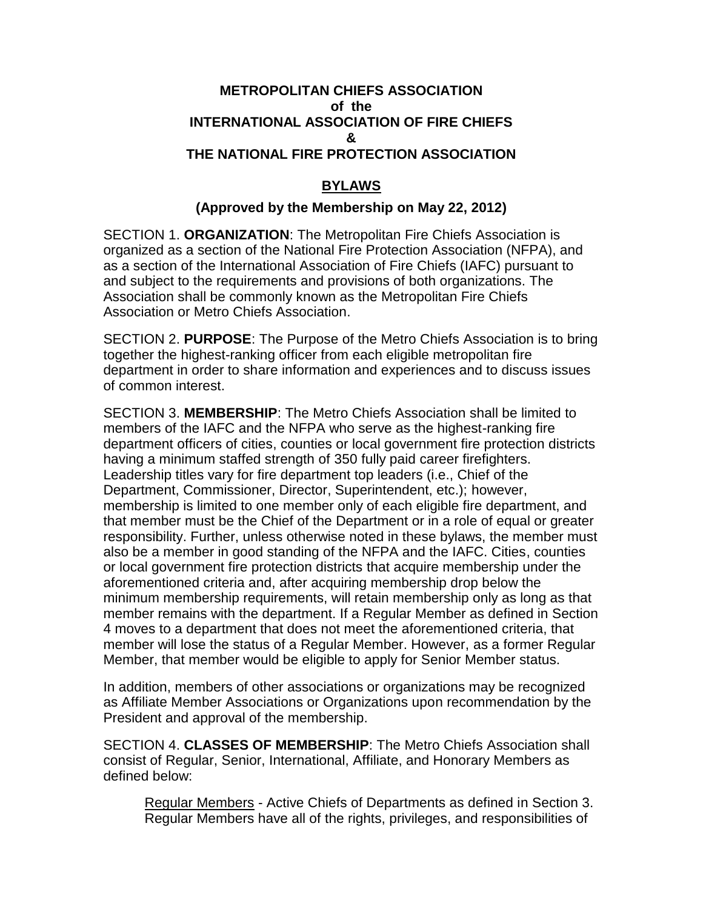## **METROPOLITAN CHIEFS ASSOCIATION of the INTERNATIONAL ASSOCIATION OF FIRE CHIEFS & THE NATIONAL FIRE PROTECTION ASSOCIATION**

## **BYLAWS**

## **(Approved by the Membership on May 22, 2012)**

SECTION 1. **ORGANIZATION**: The Metropolitan Fire Chiefs Association is organized as a section of the National Fire Protection Association (NFPA), and as a section of the International Association of Fire Chiefs (IAFC) pursuant to and subject to the requirements and provisions of both organizations. The Association shall be commonly known as the Metropolitan Fire Chiefs Association or Metro Chiefs Association.

SECTION 2. **PURPOSE**: The Purpose of the Metro Chiefs Association is to bring together the highest-ranking officer from each eligible metropolitan fire department in order to share information and experiences and to discuss issues of common interest.

SECTION 3. **MEMBERSHIP**: The Metro Chiefs Association shall be limited to members of the IAFC and the NFPA who serve as the highest-ranking fire department officers of cities, counties or local government fire protection districts having a minimum staffed strength of 350 fully paid career firefighters. Leadership titles vary for fire department top leaders (i.e., Chief of the Department, Commissioner, Director, Superintendent, etc.); however, membership is limited to one member only of each eligible fire department, and that member must be the Chief of the Department or in a role of equal or greater responsibility. Further, unless otherwise noted in these bylaws, the member must also be a member in good standing of the NFPA and the IAFC. Cities, counties or local government fire protection districts that acquire membership under the aforementioned criteria and, after acquiring membership drop below the minimum membership requirements, will retain membership only as long as that member remains with the department. If a Regular Member as defined in Section 4 moves to a department that does not meet the aforementioned criteria, that member will lose the status of a Regular Member. However, as a former Regular Member, that member would be eligible to apply for Senior Member status.

In addition, members of other associations or organizations may be recognized as Affiliate Member Associations or Organizations upon recommendation by the President and approval of the membership.

SECTION 4. **CLASSES OF MEMBERSHIP**: The Metro Chiefs Association shall consist of Regular, Senior, International, Affiliate, and Honorary Members as defined below:

Regular Members - Active Chiefs of Departments as defined in Section 3. Regular Members have all of the rights, privileges, and responsibilities of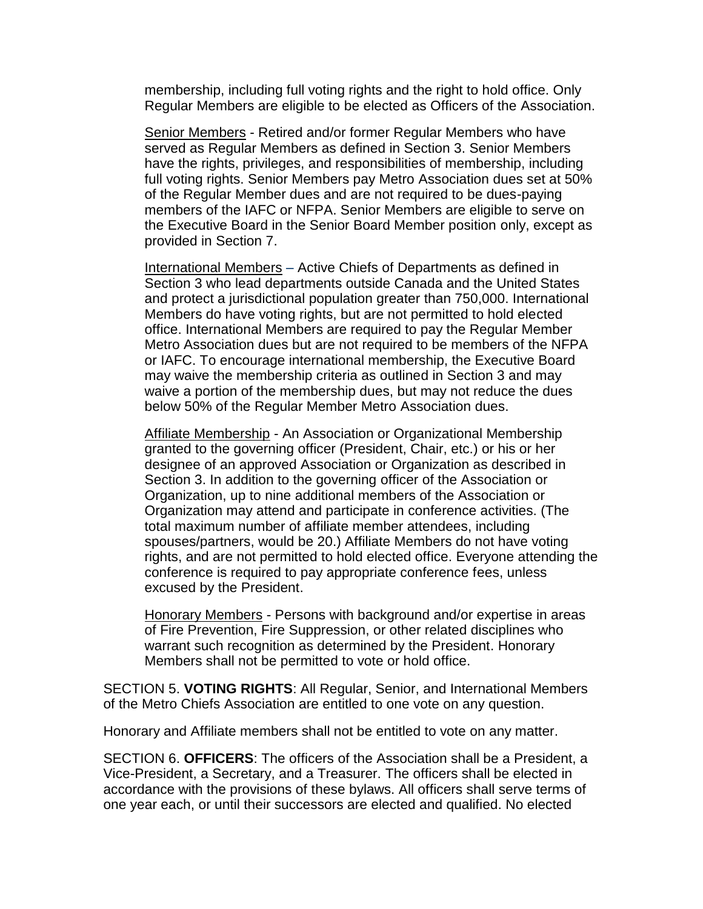membership, including full voting rights and the right to hold office. Only Regular Members are eligible to be elected as Officers of the Association.

Senior Members - Retired and/or former Regular Members who have served as Regular Members as defined in Section 3. Senior Members have the rights, privileges, and responsibilities of membership, including full voting rights. Senior Members pay Metro Association dues set at 50% of the Regular Member dues and are not required to be dues-paying members of the IAFC or NFPA. Senior Members are eligible to serve on the Executive Board in the Senior Board Member position only, except as provided in Section 7.

International Members – Active Chiefs of Departments as defined in Section 3 who lead departments outside Canada and the United States and protect a jurisdictional population greater than 750,000. International Members do have voting rights, but are not permitted to hold elected office. International Members are required to pay the Regular Member Metro Association dues but are not required to be members of the NFPA or IAFC. To encourage international membership, the Executive Board may waive the membership criteria as outlined in Section 3 and may waive a portion of the membership dues, but may not reduce the dues below 50% of the Regular Member Metro Association dues.

Affiliate Membership - An Association or Organizational Membership granted to the governing officer (President, Chair, etc.) or his or her designee of an approved Association or Organization as described in Section 3. In addition to the governing officer of the Association or Organization, up to nine additional members of the Association or Organization may attend and participate in conference activities. (The total maximum number of affiliate member attendees, including spouses/partners, would be 20.) Affiliate Members do not have voting rights, and are not permitted to hold elected office. Everyone attending the conference is required to pay appropriate conference fees, unless excused by the President.

Honorary Members - Persons with background and/or expertise in areas of Fire Prevention, Fire Suppression, or other related disciplines who warrant such recognition as determined by the President. Honorary Members shall not be permitted to vote or hold office.

SECTION 5. **VOTING RIGHTS**: All Regular, Senior, and International Members of the Metro Chiefs Association are entitled to one vote on any question.

Honorary and Affiliate members shall not be entitled to vote on any matter.

SECTION 6. **OFFICERS**: The officers of the Association shall be a President, a Vice-President, a Secretary, and a Treasurer. The officers shall be elected in accordance with the provisions of these bylaws. All officers shall serve terms of one year each, or until their successors are elected and qualified. No elected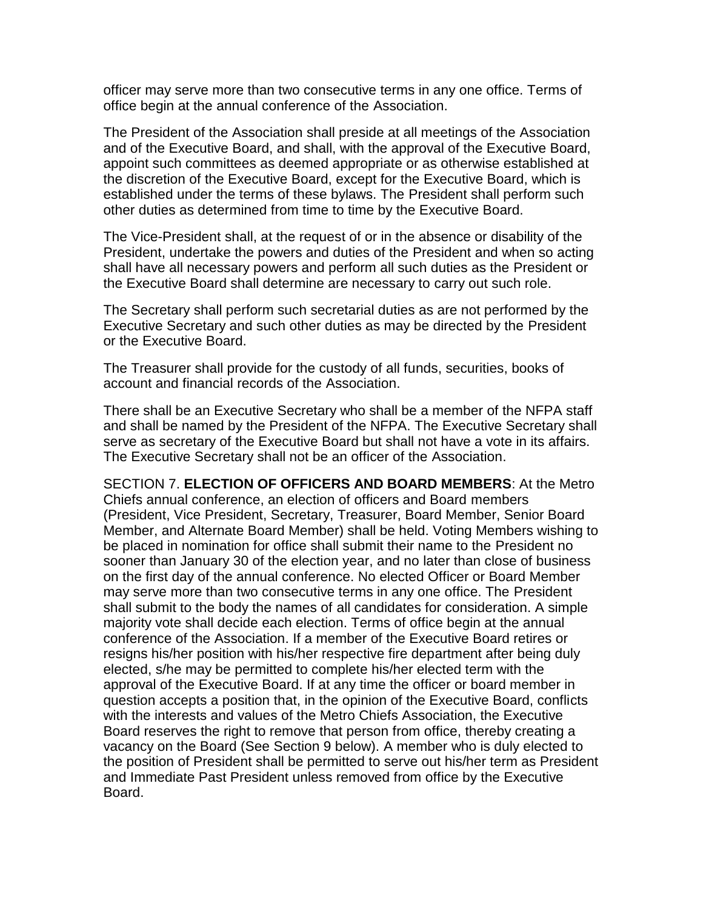officer may serve more than two consecutive terms in any one office. Terms of office begin at the annual conference of the Association.

The President of the Association shall preside at all meetings of the Association and of the Executive Board, and shall, with the approval of the Executive Board, appoint such committees as deemed appropriate or as otherwise established at the discretion of the Executive Board, except for the Executive Board, which is established under the terms of these bylaws. The President shall perform such other duties as determined from time to time by the Executive Board.

The Vice-President shall, at the request of or in the absence or disability of the President, undertake the powers and duties of the President and when so acting shall have all necessary powers and perform all such duties as the President or the Executive Board shall determine are necessary to carry out such role.

The Secretary shall perform such secretarial duties as are not performed by the Executive Secretary and such other duties as may be directed by the President or the Executive Board.

The Treasurer shall provide for the custody of all funds, securities, books of account and financial records of the Association.

There shall be an Executive Secretary who shall be a member of the NFPA staff and shall be named by the President of the NFPA. The Executive Secretary shall serve as secretary of the Executive Board but shall not have a vote in its affairs. The Executive Secretary shall not be an officer of the Association.

SECTION 7. **ELECTION OF OFFICERS AND BOARD MEMBERS**: At the Metro Chiefs annual conference, an election of officers and Board members (President, Vice President, Secretary, Treasurer, Board Member, Senior Board Member, and Alternate Board Member) shall be held. Voting Members wishing to be placed in nomination for office shall submit their name to the President no sooner than January 30 of the election year, and no later than close of business on the first day of the annual conference. No elected Officer or Board Member may serve more than two consecutive terms in any one office. The President shall submit to the body the names of all candidates for consideration. A simple majority vote shall decide each election. Terms of office begin at the annual conference of the Association. If a member of the Executive Board retires or resigns his/her position with his/her respective fire department after being duly elected, s/he may be permitted to complete his/her elected term with the approval of the Executive Board. If at any time the officer or board member in question accepts a position that, in the opinion of the Executive Board, conflicts with the interests and values of the Metro Chiefs Association, the Executive Board reserves the right to remove that person from office, thereby creating a vacancy on the Board (See Section 9 below). A member who is duly elected to the position of President shall be permitted to serve out his/her term as President and Immediate Past President unless removed from office by the Executive Board.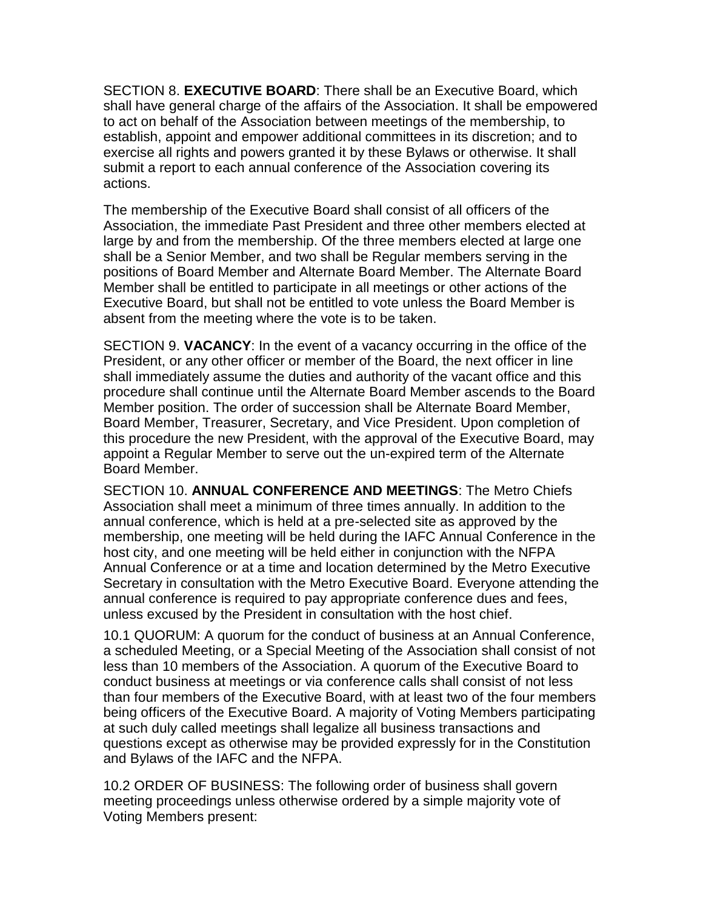SECTION 8. **EXECUTIVE BOARD**: There shall be an Executive Board, which shall have general charge of the affairs of the Association. It shall be empowered to act on behalf of the Association between meetings of the membership, to establish, appoint and empower additional committees in its discretion; and to exercise all rights and powers granted it by these Bylaws or otherwise. It shall submit a report to each annual conference of the Association covering its actions.

The membership of the Executive Board shall consist of all officers of the Association, the immediate Past President and three other members elected at large by and from the membership. Of the three members elected at large one shall be a Senior Member, and two shall be Regular members serving in the positions of Board Member and Alternate Board Member. The Alternate Board Member shall be entitled to participate in all meetings or other actions of the Executive Board, but shall not be entitled to vote unless the Board Member is absent from the meeting where the vote is to be taken.

SECTION 9. **VACANCY**: In the event of a vacancy occurring in the office of the President, or any other officer or member of the Board, the next officer in line shall immediately assume the duties and authority of the vacant office and this procedure shall continue until the Alternate Board Member ascends to the Board Member position. The order of succession shall be Alternate Board Member, Board Member, Treasurer, Secretary, and Vice President. Upon completion of this procedure the new President, with the approval of the Executive Board, may appoint a Regular Member to serve out the un-expired term of the Alternate Board Member.

SECTION 10. **ANNUAL CONFERENCE AND MEETINGS**: The Metro Chiefs Association shall meet a minimum of three times annually. In addition to the annual conference, which is held at a pre-selected site as approved by the membership, one meeting will be held during the IAFC Annual Conference in the host city, and one meeting will be held either in conjunction with the NFPA Annual Conference or at a time and location determined by the Metro Executive Secretary in consultation with the Metro Executive Board. Everyone attending the annual conference is required to pay appropriate conference dues and fees, unless excused by the President in consultation with the host chief.

10.1 QUORUM: A quorum for the conduct of business at an Annual Conference, a scheduled Meeting, or a Special Meeting of the Association shall consist of not less than 10 members of the Association. A quorum of the Executive Board to conduct business at meetings or via conference calls shall consist of not less than four members of the Executive Board, with at least two of the four members being officers of the Executive Board. A majority of Voting Members participating at such duly called meetings shall legalize all business transactions and questions except as otherwise may be provided expressly for in the Constitution and Bylaws of the IAFC and the NFPA.

10.2 ORDER OF BUSINESS: The following order of business shall govern meeting proceedings unless otherwise ordered by a simple majority vote of Voting Members present: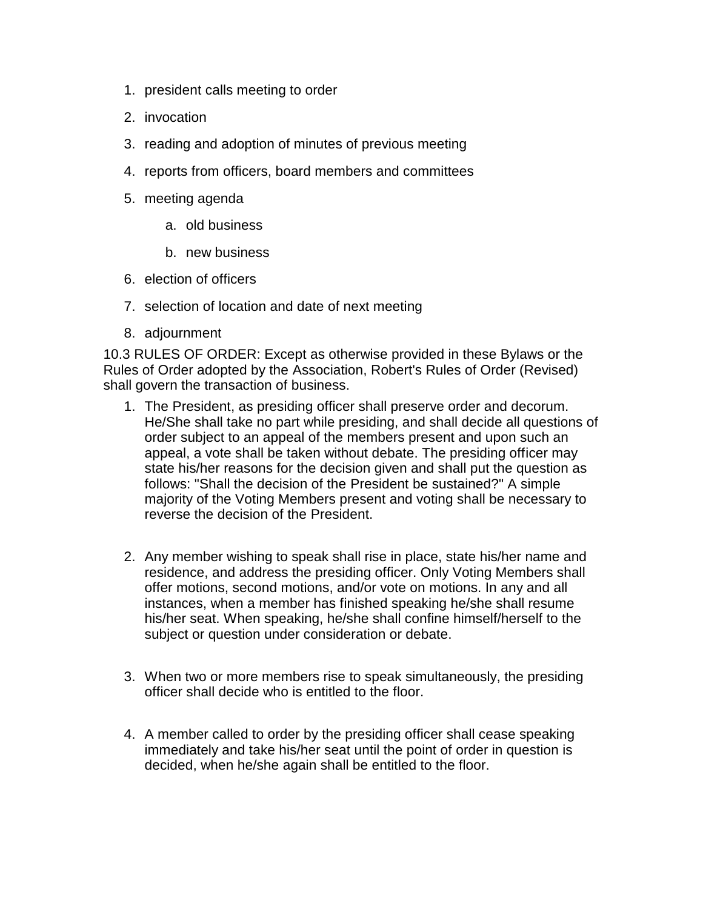- 1. president calls meeting to order
- 2. invocation
- 3. reading and adoption of minutes of previous meeting
- 4. reports from officers, board members and committees
- 5. meeting agenda
	- a. old business
	- b. new business
- 6. election of officers
- 7. selection of location and date of next meeting
- 8. adjournment

10.3 RULES OF ORDER: Except as otherwise provided in these Bylaws or the Rules of Order adopted by the Association, Robert's Rules of Order (Revised) shall govern the transaction of business.

- 1. The President, as presiding officer shall preserve order and decorum. He/She shall take no part while presiding, and shall decide all questions of order subject to an appeal of the members present and upon such an appeal, a vote shall be taken without debate. The presiding officer may state his/her reasons for the decision given and shall put the question as follows: "Shall the decision of the President be sustained?" A simple majority of the Voting Members present and voting shall be necessary to reverse the decision of the President.
- 2. Any member wishing to speak shall rise in place, state his/her name and residence, and address the presiding officer. Only Voting Members shall offer motions, second motions, and/or vote on motions. In any and all instances, when a member has finished speaking he/she shall resume his/her seat. When speaking, he/she shall confine himself/herself to the subject or question under consideration or debate.
- 3. When two or more members rise to speak simultaneously, the presiding officer shall decide who is entitled to the floor.
- 4. A member called to order by the presiding officer shall cease speaking immediately and take his/her seat until the point of order in question is decided, when he/she again shall be entitled to the floor.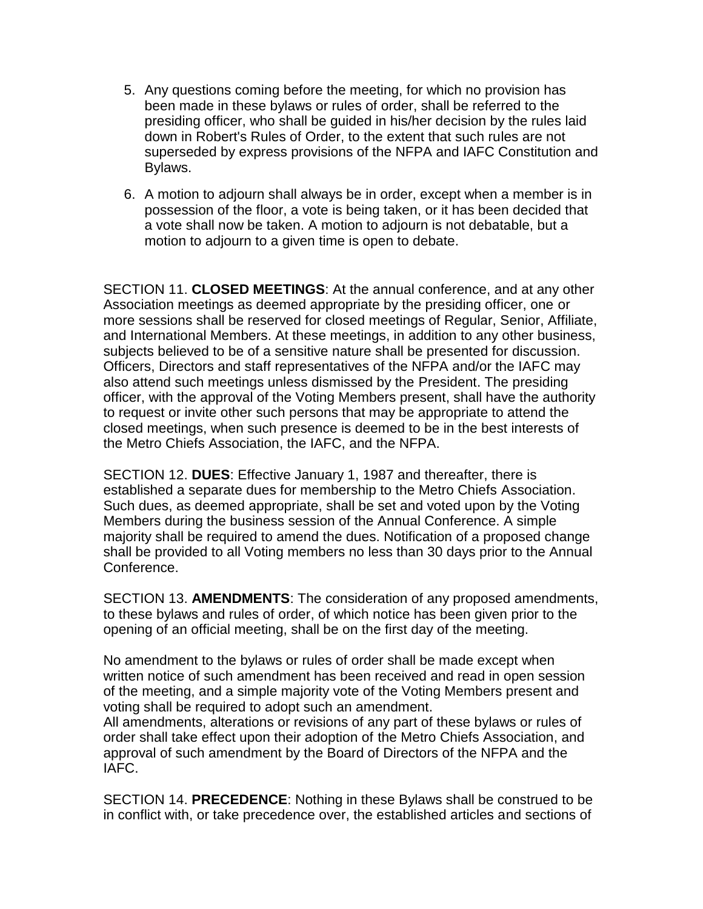- 5. Any questions coming before the meeting, for which no provision has been made in these bylaws or rules of order, shall be referred to the presiding officer, who shall be guided in his/her decision by the rules laid down in Robert's Rules of Order, to the extent that such rules are not superseded by express provisions of the NFPA and IAFC Constitution and Bylaws.
- 6. A motion to adjourn shall always be in order, except when a member is in possession of the floor, a vote is being taken, or it has been decided that a vote shall now be taken. A motion to adjourn is not debatable, but a motion to adjourn to a given time is open to debate.

SECTION 11. **CLOSED MEETINGS**: At the annual conference, and at any other Association meetings as deemed appropriate by the presiding officer, one or more sessions shall be reserved for closed meetings of Regular, Senior, Affiliate, and International Members. At these meetings, in addition to any other business, subjects believed to be of a sensitive nature shall be presented for discussion. Officers, Directors and staff representatives of the NFPA and/or the IAFC may also attend such meetings unless dismissed by the President. The presiding officer, with the approval of the Voting Members present, shall have the authority to request or invite other such persons that may be appropriate to attend the closed meetings, when such presence is deemed to be in the best interests of the Metro Chiefs Association, the IAFC, and the NFPA.

SECTION 12. **DUES**: Effective January 1, 1987 and thereafter, there is established a separate dues for membership to the Metro Chiefs Association. Such dues, as deemed appropriate, shall be set and voted upon by the Voting Members during the business session of the Annual Conference. A simple majority shall be required to amend the dues. Notification of a proposed change shall be provided to all Voting members no less than 30 days prior to the Annual Conference.

SECTION 13. **AMENDMENTS**: The consideration of any proposed amendments, to these bylaws and rules of order, of which notice has been given prior to the opening of an official meeting, shall be on the first day of the meeting.

No amendment to the bylaws or rules of order shall be made except when written notice of such amendment has been received and read in open session of the meeting, and a simple majority vote of the Voting Members present and voting shall be required to adopt such an amendment. All amendments, alterations or revisions of any part of these bylaws or rules of

order shall take effect upon their adoption of the Metro Chiefs Association, and approval of such amendment by the Board of Directors of the NFPA and the IAFC.

SECTION 14. **PRECEDENCE**: Nothing in these Bylaws shall be construed to be in conflict with, or take precedence over, the established articles and sections of